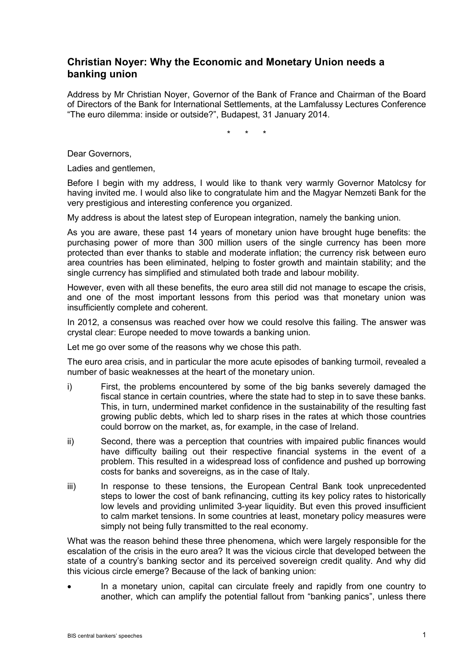## **Christian Noyer: Why the Economic and Monetary Union needs a banking union**

Address by Mr Christian Noyer, Governor of the Bank of France and Chairman of the Board of Directors of the Bank for International Settlements, at the Lamfalussy Lectures Conference "The euro dilemma: inside or outside?", Budapest, 31 January 2014.

\* \* \*

Dear Governors,

Ladies and gentlemen,

Before I begin with my address, I would like to thank very warmly Governor Matolcsy for having invited me. I would also like to congratulate him and the Magyar Nemzeti Bank for the very prestigious and interesting conference you organized.

My address is about the latest step of European integration, namely the banking union.

As you are aware, these past 14 years of monetary union have brought huge benefits: the purchasing power of more than 300 million users of the single currency has been more protected than ever thanks to stable and moderate inflation; the currency risk between euro area countries has been eliminated, helping to foster growth and maintain stability; and the single currency has simplified and stimulated both trade and labour mobility.

However, even with all these benefits, the euro area still did not manage to escape the crisis, and one of the most important lessons from this period was that monetary union was insufficiently complete and coherent.

In 2012, a consensus was reached over how we could resolve this failing. The answer was crystal clear: Europe needed to move towards a banking union.

Let me go over some of the reasons why we chose this path.

The euro area crisis, and in particular the more acute episodes of banking turmoil, revealed a number of basic weaknesses at the heart of the monetary union.

- i) First, the problems encountered by some of the big banks severely damaged the fiscal stance in certain countries, where the state had to step in to save these banks. This, in turn, undermined market confidence in the sustainability of the resulting fast growing public debts, which led to sharp rises in the rates at which those countries could borrow on the market, as, for example, in the case of Ireland.
- ii) Second, there was a perception that countries with impaired public finances would have difficulty bailing out their respective financial systems in the event of a problem. This resulted in a widespread loss of confidence and pushed up borrowing costs for banks and sovereigns, as in the case of Italy.
- iii) In response to these tensions, the European Central Bank took unprecedented steps to lower the cost of bank refinancing, cutting its key policy rates to historically low levels and providing unlimited 3-year liquidity. But even this proved insufficient to calm market tensions. In some countries at least, monetary policy measures were simply not being fully transmitted to the real economy.

What was the reason behind these three phenomena, which were largely responsible for the escalation of the crisis in the euro area? It was the vicious circle that developed between the state of a country's banking sector and its perceived sovereign credit quality. And why did this vicious circle emerge? Because of the lack of banking union:

• In a monetary union, capital can circulate freely and rapidly from one country to another, which can amplify the potential fallout from "banking panics", unless there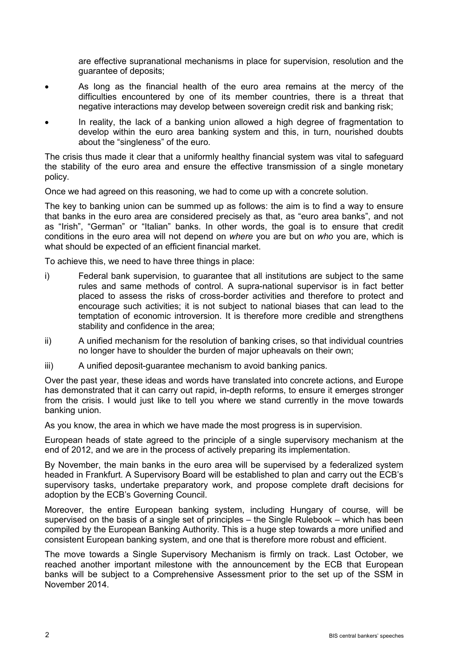are effective supranational mechanisms in place for supervision, resolution and the guarantee of deposits;

- As long as the financial health of the euro area remains at the mercy of the difficulties encountered by one of its member countries, there is a threat that negative interactions may develop between sovereign credit risk and banking risk;
- In reality, the lack of a banking union allowed a high degree of fragmentation to develop within the euro area banking system and this, in turn, nourished doubts about the "singleness" of the euro.

The crisis thus made it clear that a uniformly healthy financial system was vital to safeguard the stability of the euro area and ensure the effective transmission of a single monetary policy.

Once we had agreed on this reasoning, we had to come up with a concrete solution.

The key to banking union can be summed up as follows: the aim is to find a way to ensure that banks in the euro area are considered precisely as that, as "euro area banks", and not as "Irish", "German" or "Italian" banks. In other words, the goal is to ensure that credit conditions in the euro area will not depend on *where* you are but on *who* you are, which is what should be expected of an efficient financial market.

To achieve this, we need to have three things in place:

- i) Federal bank supervision, to guarantee that all institutions are subject to the same rules and same methods of control. A supra-national supervisor is in fact better placed to assess the risks of cross-border activities and therefore to protect and encourage such activities; it is not subject to national biases that can lead to the temptation of economic introversion. It is therefore more credible and strengthens stability and confidence in the area;
- ii) A unified mechanism for the resolution of banking crises, so that individual countries no longer have to shoulder the burden of major upheavals on their own;
- iii) A unified deposit-guarantee mechanism to avoid banking panics.

Over the past year, these ideas and words have translated into concrete actions, and Europe has demonstrated that it can carry out rapid, in-depth reforms, to ensure it emerges stronger from the crisis. I would just like to tell you where we stand currently in the move towards banking union.

As you know, the area in which we have made the most progress is in supervision.

European heads of state agreed to the principle of a single supervisory mechanism at the end of 2012, and we are in the process of actively preparing its implementation.

By November, the main banks in the euro area will be supervised by a federalized system headed in Frankfurt. A Supervisory Board will be established to plan and carry out the ECB's supervisory tasks, undertake preparatory work, and propose complete draft decisions for adoption by the ECB's Governing Council.

Moreover, the entire European banking system, including Hungary of course, will be supervised on the basis of a single set of principles – the Single Rulebook – which has been compiled by the European Banking Authority. This is a huge step towards a more unified and consistent European banking system, and one that is therefore more robust and efficient.

The move towards a Single Supervisory Mechanism is firmly on track. Last October, we reached another important milestone with the announcement by the ECB that European banks will be subject to a Comprehensive Assessment prior to the set up of the SSM in November 2014.